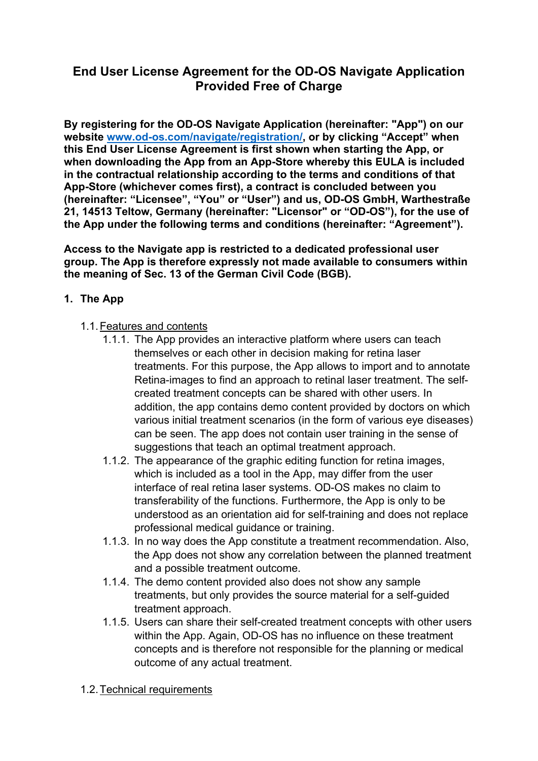# **End User License Agreement for the OD-OS Navigate Application Provided Free of Charge**

**By registering for the OD-OS Navigate Application (hereinafter: "App") on our website www.od-os.com/navigate/registration/, or by clicking "Accept" when this End User License Agreement is first shown when starting the App, or when downloading the App from an App-Store whereby this EULA is included in the contractual relationship according to the terms and conditions of that App-Store (whichever comes first), a contract is concluded between you (hereinafter: "Licensee", "You" or "User") and us, OD-OS GmbH, Warthestraße 21, 14513 Teltow, Germany (hereinafter: "Licensor" or "OD-OS"), for the use of the App under the following terms and conditions (hereinafter: "Agreement").** 

**Access to the Navigate app is restricted to a dedicated professional user group. The App is therefore expressly not made available to consumers within the meaning of Sec. 13 of the German Civil Code (BGB).** 

# **1. The App**

- 1.1. Features and contents
	- 1.1.1. The App provides an interactive platform where users can teach themselves or each other in decision making for retina laser treatments. For this purpose, the App allows to import and to annotate Retina-images to find an approach to retinal laser treatment. The selfcreated treatment concepts can be shared with other users. In addition, the app contains demo content provided by doctors on which various initial treatment scenarios (in the form of various eye diseases) can be seen. The app does not contain user training in the sense of suggestions that teach an optimal treatment approach.
	- 1.1.2. The appearance of the graphic editing function for retina images, which is included as a tool in the App, may differ from the user interface of real retina laser systems. OD-OS makes no claim to transferability of the functions. Furthermore, the App is only to be understood as an orientation aid for self-training and does not replace professional medical guidance or training.
	- 1.1.3. In no way does the App constitute a treatment recommendation. Also, the App does not show any correlation between the planned treatment and a possible treatment outcome.
	- 1.1.4. The demo content provided also does not show any sample treatments, but only provides the source material for a self-guided treatment approach.
	- 1.1.5. Users can share their self-created treatment concepts with other users within the App. Again, OD-OS has no influence on these treatment concepts and is therefore not responsible for the planning or medical outcome of any actual treatment.
- 1.2. Technical requirements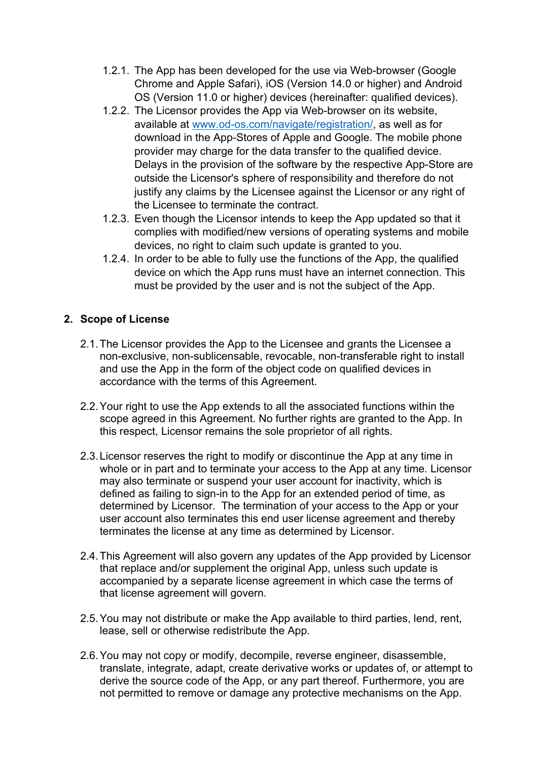- 1.2.1. The App has been developed for the use via Web-browser (Google Chrome and Apple Safari), iOS (Version 14.0 or higher) and Android OS (Version 11.0 or higher) devices (hereinafter: qualified devices).
- 1.2.2. The Licensor provides the App via Web-browser on its website, available at www.od-os.com/navigate/registration/, as well as for download in the App-Stores of Apple and Google. The mobile phone provider may charge for the data transfer to the qualified device. Delays in the provision of the software by the respective App-Store are outside the Licensor's sphere of responsibility and therefore do not justify any claims by the Licensee against the Licensor or any right of the Licensee to terminate the contract.
- 1.2.3. Even though the Licensor intends to keep the App updated so that it complies with modified/new versions of operating systems and mobile devices, no right to claim such update is granted to you.
- 1.2.4. In order to be able to fully use the functions of the App, the qualified device on which the App runs must have an internet connection. This must be provided by the user and is not the subject of the App.

# **2. Scope of License**

- 2.1. The Licensor provides the App to the Licensee and grants the Licensee a non-exclusive, non-sublicensable, revocable, non-transferable right to install and use the App in the form of the object code on qualified devices in accordance with the terms of this Agreement.
- 2.2. Your right to use the App extends to all the associated functions within the scope agreed in this Agreement. No further rights are granted to the App. In this respect, Licensor remains the sole proprietor of all rights.
- 2.3. Licensor reserves the right to modify or discontinue the App at any time in whole or in part and to terminate your access to the App at any time. Licensor may also terminate or suspend your user account for inactivity, which is defined as failing to sign-in to the App for an extended period of time, as determined by Licensor. The termination of your access to the App or your user account also terminates this end user license agreement and thereby terminates the license at any time as determined by Licensor.
- 2.4. This Agreement will also govern any updates of the App provided by Licensor that replace and/or supplement the original App, unless such update is accompanied by a separate license agreement in which case the terms of that license agreement will govern.
- 2.5. You may not distribute or make the App available to third parties, lend, rent, lease, sell or otherwise redistribute the App.
- 2.6. You may not copy or modify, decompile, reverse engineer, disassemble, translate, integrate, adapt, create derivative works or updates of, or attempt to derive the source code of the App, or any part thereof. Furthermore, you are not permitted to remove or damage any protective mechanisms on the App.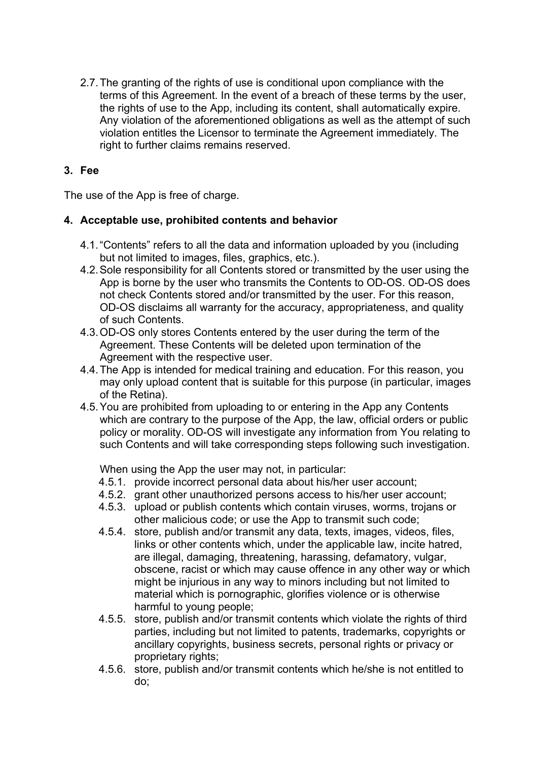2.7. The granting of the rights of use is conditional upon compliance with the terms of this Agreement. In the event of a breach of these terms by the user, the rights of use to the App, including its content, shall automatically expire. Any violation of the aforementioned obligations as well as the attempt of such violation entitles the Licensor to terminate the Agreement immediately. The right to further claims remains reserved.

# **3. Fee**

The use of the App is free of charge.

### **4. Acceptable use, prohibited contents and behavior**

- 4.1. "Contents" refers to all the data and information uploaded by you (including but not limited to images, files, graphics, etc.).
- 4.2. Sole responsibility for all Contents stored or transmitted by the user using the App is borne by the user who transmits the Contents to OD-OS. OD-OS does not check Contents stored and/or transmitted by the user. For this reason, OD-OS disclaims all warranty for the accuracy, appropriateness, and quality of such Contents.
- 4.3. OD-OS only stores Contents entered by the user during the term of the Agreement. These Contents will be deleted upon termination of the Agreement with the respective user.
- 4.4. The App is intended for medical training and education. For this reason, you may only upload content that is suitable for this purpose (in particular, images of the Retina).
- 4.5. You are prohibited from uploading to or entering in the App any Contents which are contrary to the purpose of the App, the law, official orders or public policy or morality. OD-OS will investigate any information from You relating to such Contents and will take corresponding steps following such investigation.

When using the App the user may not, in particular:

- 4.5.1. provide incorrect personal data about his/her user account;
- 4.5.2. grant other unauthorized persons access to his/her user account;
- 4.5.3. upload or publish contents which contain viruses, worms, trojans or other malicious code; or use the App to transmit such code;
- 4.5.4. store, publish and/or transmit any data, texts, images, videos, files, links or other contents which, under the applicable law, incite hatred, are illegal, damaging, threatening, harassing, defamatory, vulgar, obscene, racist or which may cause offence in any other way or which might be injurious in any way to minors including but not limited to material which is pornographic, glorifies violence or is otherwise harmful to young people;
- 4.5.5. store, publish and/or transmit contents which violate the rights of third parties, including but not limited to patents, trademarks, copyrights or ancillary copyrights, business secrets, personal rights or privacy or proprietary rights;
- 4.5.6. store, publish and/or transmit contents which he/she is not entitled to do;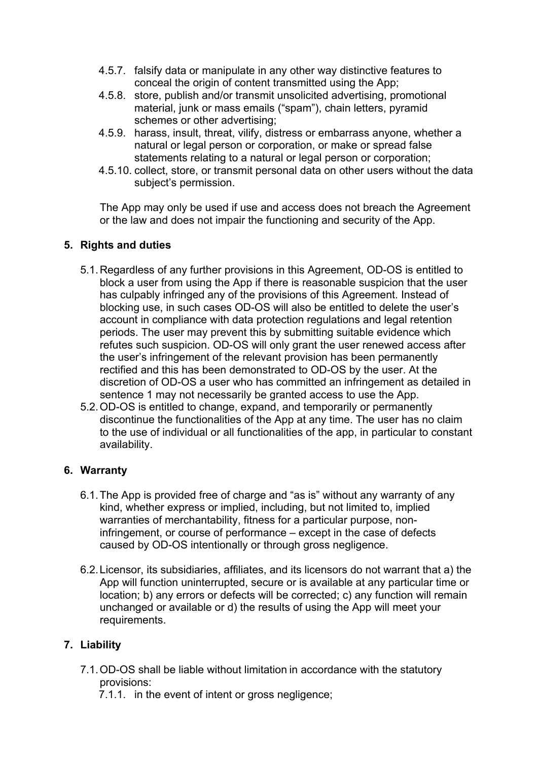- 4.5.7. falsify data or manipulate in any other way distinctive features to conceal the origin of content transmitted using the App;
- 4.5.8. store, publish and/or transmit unsolicited advertising, promotional material, junk or mass emails ("spam"), chain letters, pyramid schemes or other advertising;
- 4.5.9. harass, insult, threat, vilify, distress or embarrass anyone, whether a natural or legal person or corporation, or make or spread false statements relating to a natural or legal person or corporation;
- 4.5.10. collect, store, or transmit personal data on other users without the data subject's permission.

The App may only be used if use and access does not breach the Agreement or the law and does not impair the functioning and security of the App.

### **5. Rights and duties**

- 5.1. Regardless of any further provisions in this Agreement, OD-OS is entitled to block a user from using the App if there is reasonable suspicion that the user has culpably infringed any of the provisions of this Agreement. Instead of blocking use, in such cases OD-OS will also be entitled to delete the user's account in compliance with data protection regulations and legal retention periods. The user may prevent this by submitting suitable evidence which refutes such suspicion. OD-OS will only grant the user renewed access after the user's infringement of the relevant provision has been permanently rectified and this has been demonstrated to OD-OS by the user. At the discretion of OD-OS a user who has committed an infringement as detailed in sentence 1 may not necessarily be granted access to use the App.
- 5.2. OD-OS is entitled to change, expand, and temporarily or permanently discontinue the functionalities of the App at any time. The user has no claim to the use of individual or all functionalities of the app, in particular to constant availability.

### **6. Warranty**

- 6.1. The App is provided free of charge and "as is" without any warranty of any kind, whether express or implied, including, but not limited to, implied warranties of merchantability, fitness for a particular purpose, noninfringement, or course of performance – except in the case of defects caused by OD-OS intentionally or through gross negligence.
- 6.2. Licensor, its subsidiaries, affiliates, and its licensors do not warrant that a) the App will function uninterrupted, secure or is available at any particular time or location; b) any errors or defects will be corrected; c) any function will remain unchanged or available or d) the results of using the App will meet your requirements.

# **7. Liability**

- 7.1. OD-OS shall be liable without limitation in accordance with the statutory provisions:
	- 7.1.1. in the event of intent or gross negligence;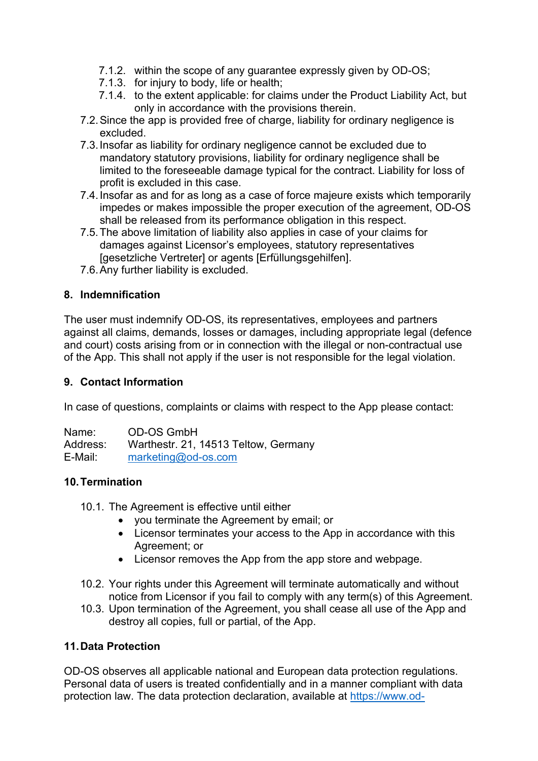- 7.1.2. within the scope of any guarantee expressly given by OD-OS;
- 7.1.3. for injury to body, life or health;
- 7.1.4. to the extent applicable: for claims under the Product Liability Act, but only in accordance with the provisions therein.
- 7.2. Since the app is provided free of charge, liability for ordinary negligence is excluded.
- 7.3. Insofar as liability for ordinary negligence cannot be excluded due to mandatory statutory provisions, liability for ordinary negligence shall be limited to the foreseeable damage typical for the contract. Liability for loss of profit is excluded in this case.
- 7.4. Insofar as and for as long as a case of force majeure exists which temporarily impedes or makes impossible the proper execution of the agreement, OD-OS shall be released from its performance obligation in this respect.
- 7.5. The above limitation of liability also applies in case of your claims for damages against Licensor's employees, statutory representatives [gesetzliche Vertreter] or agents [Erfüllungsgehilfen].
- 7.6. Any further liability is excluded.

### **8. Indemnification**

The user must indemnify OD-OS, its representatives, employees and partners against all claims, demands, losses or damages, including appropriate legal (defence and court) costs arising from or in connection with the illegal or non-contractual use of the App. This shall not apply if the user is not responsible for the legal violation.

#### **9. Contact Information**

In case of questions, complaints or claims with respect to the App please contact:

Name: OD-OS GmbH Address: Warthestr. 21, 14513 Teltow, Germany E-Mail: marketing@od-os.com

### **10. Termination**

- 10.1. The Agreement is effective until either
	- you terminate the Agreement by email; or
	- Licensor terminates your access to the App in accordance with this Agreement; or
	- Licensor removes the App from the app store and webpage.
- 10.2. Your rights under this Agreement will terminate automatically and without notice from Licensor if you fail to comply with any term(s) of this Agreement.
- 10.3. Upon termination of the Agreement, you shall cease all use of the App and destroy all copies, full or partial, of the App.

### **11. Data Protection**

OD-OS observes all applicable national and European data protection regulations. Personal data of users is treated confidentially and in a manner compliant with data protection law. The data protection declaration, available at https://www.od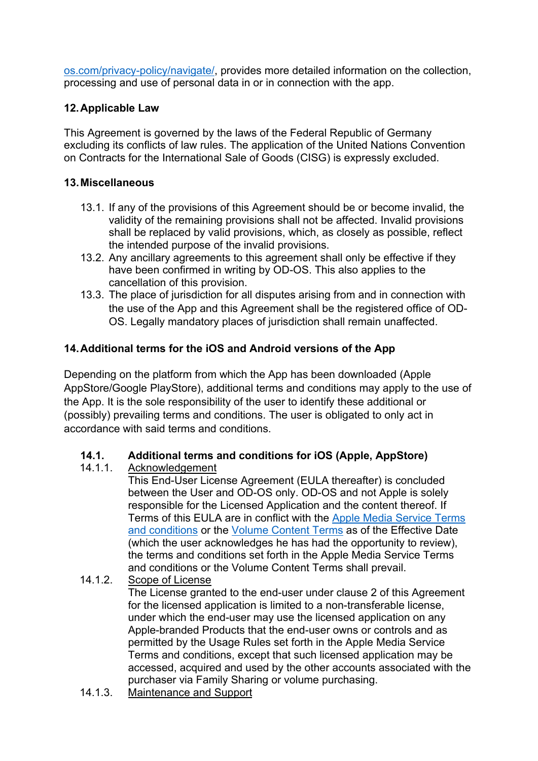os.com/privacy-policy/navigate/, provides more detailed information on the collection, processing and use of personal data in or in connection with the app.

# **12. Applicable Law**

This Agreement is governed by the laws of the Federal Republic of Germany excluding its conflicts of law rules. The application of the United Nations Convention on Contracts for the International Sale of Goods (CISG) is expressly excluded.

## **13. Miscellaneous**

- 13.1. If any of the provisions of this Agreement should be or become invalid, the validity of the remaining provisions shall not be affected. Invalid provisions shall be replaced by valid provisions, which, as closely as possible, reflect the intended purpose of the invalid provisions.
- 13.2. Any ancillary agreements to this agreement shall only be effective if they have been confirmed in writing by OD-OS. This also applies to the cancellation of this provision.
- 13.3. The place of jurisdiction for all disputes arising from and in connection with the use of the App and this Agreement shall be the registered office of OD-OS. Legally mandatory places of jurisdiction shall remain unaffected.

# **14. Additional terms for the iOS and Android versions of the App**

Depending on the platform from which the App has been downloaded (Apple AppStore/Google PlayStore), additional terms and conditions may apply to the use of the App. It is the sole responsibility of the user to identify these additional or (possibly) prevailing terms and conditions. The user is obligated to only act in accordance with said terms and conditions.

### **14.1. Additional terms and conditions for iOS (Apple, AppStore)**

14.1.1. Acknowledgement

This End-User License Agreement (EULA thereafter) is concluded between the User and OD-OS only. OD-OS and not Apple is solely responsible for the Licensed Application and the content thereof. If Terms of this EULA are in conflict with the Apple Media Service Terms and conditions or the Volume Content Terms as of the Effective Date (which the user acknowledges he has had the opportunity to review), the terms and conditions set forth in the Apple Media Service Terms and conditions or the Volume Content Terms shall prevail.

14.1.2. Scope of License

The License granted to the end-user under clause 2 of this Agreement for the licensed application is limited to a non-transferable license, under which the end-user may use the licensed application on any Apple-branded Products that the end-user owns or controls and as permitted by the Usage Rules set forth in the Apple Media Service Terms and conditions, except that such licensed application may be accessed, acquired and used by the other accounts associated with the purchaser via Family Sharing or volume purchasing.

14.1.3. Maintenance and Support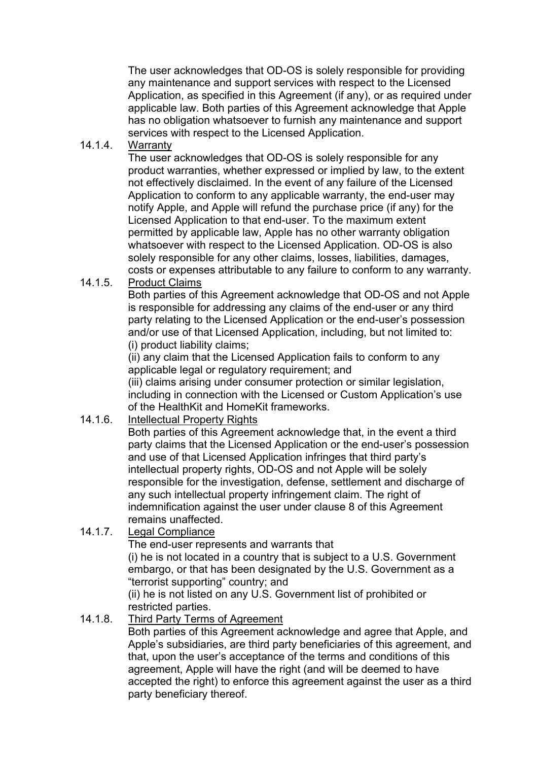The user acknowledges that OD-OS is solely responsible for providing any maintenance and support services with respect to the Licensed Application, as specified in this Agreement (if any), or as required under applicable law. Both parties of this Agreement acknowledge that Apple has no obligation whatsoever to furnish any maintenance and support services with respect to the Licensed Application.

14.1.4. Warranty

The user acknowledges that OD-OS is solely responsible for any product warranties, whether expressed or implied by law, to the extent not effectively disclaimed. In the event of any failure of the Licensed Application to conform to any applicable warranty, the end-user may notify Apple, and Apple will refund the purchase price (if any) for the Licensed Application to that end-user. To the maximum extent permitted by applicable law, Apple has no other warranty obligation whatsoever with respect to the Licensed Application. OD-OS is also solely responsible for any other claims, losses, liabilities, damages, costs or expenses attributable to any failure to conform to any warranty.

14.1.5. Product Claims

Both parties of this Agreement acknowledge that OD-OS and not Apple is responsible for addressing any claims of the end-user or any third party relating to the Licensed Application or the end-user's possession and/or use of that Licensed Application, including, but not limited to: (i) product liability claims;

(ii) any claim that the Licensed Application fails to conform to any applicable legal or regulatory requirement; and

(iii) claims arising under consumer protection or similar legislation, including in connection with the Licensed or Custom Application's use of the HealthKit and HomeKit frameworks.

14.1.6. Intellectual Property Rights

Both parties of this Agreement acknowledge that, in the event a third party claims that the Licensed Application or the end-user's possession and use of that Licensed Application infringes that third party's intellectual property rights, OD-OS and not Apple will be solely responsible for the investigation, defense, settlement and discharge of any such intellectual property infringement claim. The right of indemnification against the user under clause 8 of this Agreement remains unaffected.

14.1.7. Legal Compliance

The end-user represents and warrants that

(i) he is not located in a country that is subject to a U.S. Government embargo, or that has been designated by the U.S. Government as a "terrorist supporting" country; and

(ii) he is not listed on any U.S. Government list of prohibited or restricted parties.

14.1.8. Third Party Terms of Agreement

Both parties of this Agreement acknowledge and agree that Apple, and Apple's subsidiaries, are third party beneficiaries of this agreement, and that, upon the user's acceptance of the terms and conditions of this agreement, Apple will have the right (and will be deemed to have accepted the right) to enforce this agreement against the user as a third party beneficiary thereof.